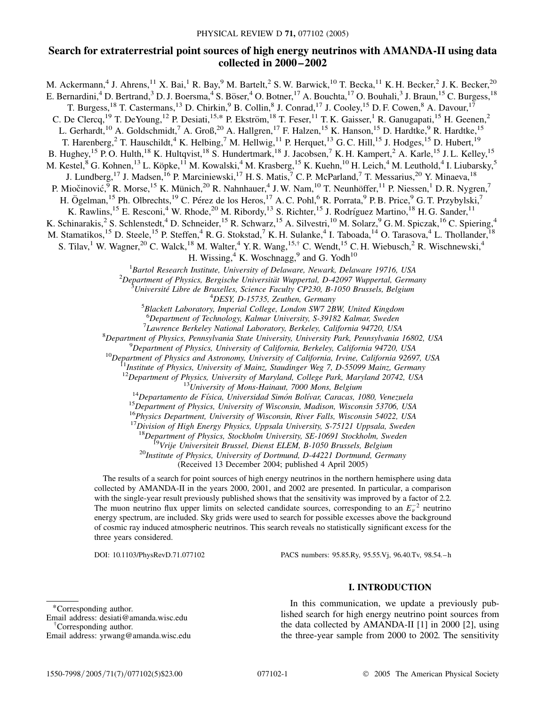# **Search for extraterrestrial point sources of high energy neutrinos with AMANDA-II using data collected in 2000–2002**

M. Ackermann,<sup>4</sup> J. Ahrens,<sup>11</sup> X. Bai,<sup>1</sup> R. Bay,<sup>9</sup> M. Bartelt,<sup>2</sup> S. W. Barwick,<sup>10</sup> T. Becka,<sup>11</sup> K. H. Becker,<sup>2</sup> J. K. Becker,<sup>20</sup> E. Bernardini,<sup>4</sup> D. Bertrand,<sup>3</sup> D. J. Boersma,<sup>4</sup> S. Böser,<sup>4</sup> O. Botner,<sup>17</sup> A. Bouchta,<sup>17</sup> O. Bouhali,<sup>3</sup> J. Braun,<sup>15</sup> C. Burgess,<sup>18</sup> T. Burgess,<sup>18</sup> T. Castermans,<sup>13</sup> D. Chirkin,<sup>9</sup> B. Collin,<sup>8</sup> J. Conrad,<sup>17</sup> J. Cooley,<sup>15</sup> D. F. Cowen,<sup>8</sup> A. Davour,<sup>17</sup> C. De Clercq,<sup>19</sup> T. DeYoung,<sup>12</sup> P. Desiati,<sup>15,\*</sup> P. Ekström,<sup>18</sup> T. Feser,<sup>11</sup> T. K. Gaisser,<sup>1</sup> R. Ganugapati,<sup>15</sup> H. Geenen,<sup>2</sup> L. Gerhardt,<sup>10</sup> A. Goldschmidt,<sup>7</sup> A. Groß,<sup>20</sup> A. Hallgren,<sup>17</sup> F. Halzen,<sup>15</sup> K. Hanson,<sup>15</sup> D. Hardtke,<sup>9</sup> R. Hardtke,<sup>15</sup> T. Harenberg,  $2$  T. Hauschildt,  $4$  K. Helbing,  $7$  M. Hellwig,  $^{11}$  P. Herquet,  $^{13}$  G. C. Hill,  $^{15}$  J. Hodges,  $^{15}$  D. Hubert,  $^{19}$ B. Hughey,<sup>15</sup> P.O. Hulth,<sup>18</sup> K. Hultqvist,<sup>18</sup> S. Hundertmark,<sup>18</sup> J. Jacobsen,<sup>7</sup> K. H. Kampert,<sup>2</sup> A. Karle,<sup>15</sup> J. L. Kelley,<sup>15</sup> M. Kestel,<sup>8</sup> G. Kohnen,<sup>13</sup> L. Köpke,<sup>11</sup> M. Kowalski,<sup>4</sup> M. Krasberg,<sup>15</sup> K. Kuehn,<sup>10</sup> H. Leich,<sup>4</sup> M. Leuthold,<sup>4</sup> I. Liubarsky,<sup>5</sup> J. Lundberg,<sup>17</sup> J. Madsen,<sup>16</sup> P. Marciniewski,<sup>17</sup> H. S. Matis,<sup>7</sup> C. P. McParland,<sup>7</sup> T. Messarius,<sup>20</sup> Y. Minaeva,<sup>18</sup> P. Miočinović, <sup>9</sup> R. Morse, <sup>15</sup> K. Münich, <sup>20</sup> R. Nahnhauer, <sup>4</sup> J. W. Nam, <sup>10</sup> T. Neunhöffer, <sup>11</sup> P. Niessen, <sup>1</sup> D. R. Nygren, <sup>7</sup> H. Ögelman,<sup>15</sup> Ph. Olbrechts,<sup>19</sup> C. Pérez de los Heros,<sup>17</sup> A. C. Pohl,<sup>6</sup> R. Porrata,<sup>9</sup> P. B. Price,<sup>9</sup> G. T. Przybylski,<sup>7</sup> K. Rawlins,<sup>15</sup> E. Resconi,<sup>4</sup> W. Rhode,<sup>20</sup> M. Ribordy,<sup>13</sup> S. Richter,<sup>15</sup> J. Rodríguez Martino,<sup>18</sup> H. G. Sander,<sup>11</sup> K. Schinarakis,<sup>2</sup> S. Schlenstedt,<sup>4</sup> D. Schneider,<sup>15</sup> R. Schwarz,<sup>15</sup> A. Silvestri,<sup>10</sup> M. Solarz,<sup>9</sup> G. M. Spiczak,<sup>16</sup> C. Spiering,<sup>4</sup> M. Stamatikos,<sup>15</sup> D. Steele,<sup>15</sup> P. Steffen,<sup>4</sup> R. G. Stokstad,<sup>7</sup> K. H. Sulanke,<sup>4</sup> I. Taboada,<sup>14</sup> O. Tarasova,<sup>4</sup> L. Thollander,<sup>18</sup> S. Tilav,<sup>1</sup> W. Wagner,<sup>20</sup> C. Walck,<sup>18</sup> M. Walter,<sup>4</sup> Y. R. Wang,<sup>15,†</sup> C. Wendt,<sup>15</sup> C. H. Wiebusch,<sup>2</sup> R. Wischnewski,<sup>4</sup> H. Wissing, $4 K$ . Woschnagg, $9$  and G. Yodh<sup>10</sup> <sup>1</sup> Bartol Research Institute, University of Delaware, Newark, Delaware 19716, USA<br><sup>2</sup> Department of Physics, Bargische Universität Wyppertal, D. 42007 Wyppertal, Germe <sup>2</sup>Department of Physics, Bergische Universität Wuppertal, D-42097 Wuppertal, Germany *Universite´ Libre de Bruxelles, Science Faculty CP230, B-1050 Brussels, Belgium* <sup>4</sup> *DESY, D-15735, Zeuthen, Germany* <sup>5</sup> *Blackett Laboratory, Imperial College, London SW7 2BW, United Kingdom* 6 *Department of Technology, Kalmar University, S-39182 Kalmar, Sweden* <sup>7</sup> *Lawrence Berkeley National Laboratory, Berkeley, California 94720, USA* <sup>8</sup> <sup>8</sup>Department of Physics, Pennsylvania State University, University Park, Pennsylvania 16802, USA<br><sup>9</sup>Department of Physics, University of California, Berkeley, California 94720, USA <sup>10</sup>Department of Physics and Astronomy, University of California, Irvine, California 92697, USA<br><sup>11</sup>Institute of Physics, University of Mainz, Staudinger Weg 7, D-55099 Mainz, Germany <sup>12</sup>Department of Physics, University of Maryland, College Park, Maryland 20742, USA<br><sup>13</sup>University of Mons-Hainaut, 7000 Mons, Belgium<br><sup>14</sup>Departamento de Física, Universidad Simón Bolívar, Caracas, 1080, Venezuela<br><sup>15</sup>D <sup>16</sup>*Physics Department, University of Wisconsin, River Falls, Wisconsin 54022, USA* <sup>17</sup>Division of High Energy Physics, Uppsala University, S-75121 Uppsala, Sweden<br><sup>18</sup>Department of Physics, Stockholm University, SE-10691 Stockholm, Sweden <sup>19</sup>Vrije Universiteit Brussel, Dienst ELEM, B-1050 Brussels, Belgium<br><sup>20</sup>Institute of Physics, University of Dortmund, D-44221 Dortmund, Germany (Received 13 December 2004; published 4 April 2005) The results of a search for point sources of high energy neutrinos in the northern hemisphere using data collected by AMANDA-II in the years 2000, 2001, and 2002 are presented. In particular, a comparison with the single-year result previously published shows that the sensitivity was improved by a factor of 2.2. The muon neutrino flux upper limits on selected candidate sources, corresponding to an  $E_{\nu}^{-2}$  neutrino energy spectrum, are included. Sky grids were used to search for possible excesses above the background

three years considered.

DOI: 10.1103/PhysRevD.71.077102 PACS numbers: 95.85.Ry, 95.55.Vj, 96.40.Tv, 98.54.–h

## **I. INTRODUCTION**

\*Corresponding author.

Email address: desiati@amanda.wisc.edu † Corresponding author.

In this communication, we update a previously published search for high energy neutrino point sources from the data collected by AMANDA-II [1] in 2000 [2], using the three-year sample from 2000 to 2002. The sensitivity

of cosmic ray induced atmospheric neutrinos. This search reveals no statistically significant excess for the

Email address: yrwang@amanda.wisc.edu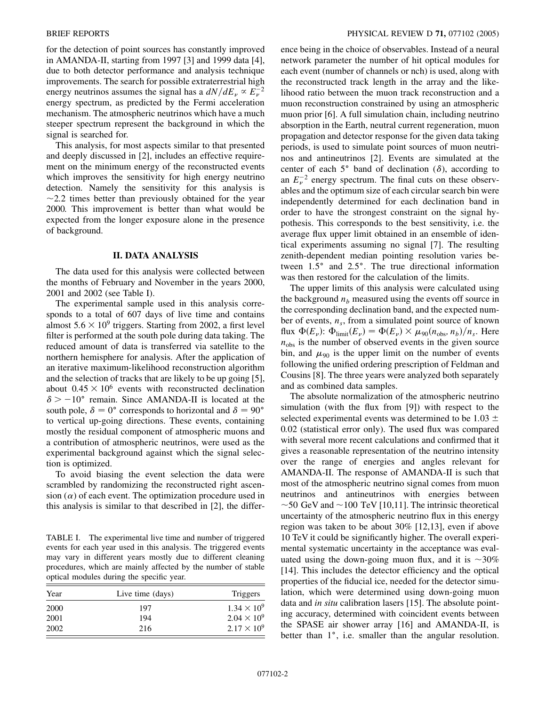for the detection of point sources has constantly improved in AMANDA-II, starting from 1997 [3] and 1999 data [4], due to both detector performance and analysis technique improvements. The search for possible extraterrestrial high energy neutrinos assumes the signal has a  $dN/dE_v \propto E_v^{-2}$ energy spectrum, as predicted by the Fermi acceleration mechanism. The atmospheric neutrinos which have a much steeper spectrum represent the background in which the signal is searched for.

This analysis, for most aspects similar to that presented and deeply discussed in [2], includes an effective requirement on the minimum energy of the reconstructed events which improves the sensitivity for high energy neutrino detection. Namely the sensitivity for this analysis is  $\sim$ 2.2 times better than previously obtained for the year 2000. This improvement is better than what would be expected from the longer exposure alone in the presence of background.

## **II. DATA ANALYSIS**

The data used for this analysis were collected between the months of February and November in the years 2000, 2001 and 2002 (see Table I).

The experimental sample used in this analysis corresponds to a total of 607 days of live time and contains almost  $5.6 \times 10^9$  triggers. Starting from 2002, a first level filter is performed at the south pole during data taking. The reduced amount of data is transferred via satellite to the northern hemisphere for analysis. After the application of an iterative maximum-likelihood reconstruction algorithm and the selection of tracks that are likely to be up going [5], about  $0.45 \times 10^6$  events with reconstructed declination  $\delta$  > -10° remain. Since AMANDA-II is located at the south pole,  $\delta = 0^{\circ}$  corresponds to horizontal and  $\delta = 90^{\circ}$ to vertical up-going directions. These events, containing mostly the residual component of atmospheric muons and a contribution of atmospheric neutrinos, were used as the experimental background against which the signal selection is optimized.

To avoid biasing the event selection the data were scrambled by randomizing the reconstructed right ascension  $(\alpha)$  of each event. The optimization procedure used in this analysis is similar to that described in [2], the differ-

TABLE I. The experimental live time and number of triggered events for each year used in this analysis. The triggered events may vary in different years mostly due to different cleaning procedures, which are mainly affected by the number of stable optical modules during the specific year.

| Year | Live time (days) | Triggers             |  |  |  |
|------|------------------|----------------------|--|--|--|
| 2000 | 197              | $1.34 \times 10^{9}$ |  |  |  |
| 2001 | 194              | $2.04 \times 10^{9}$ |  |  |  |
| 2002 | 216              | $2.17 \times 10^{9}$ |  |  |  |

ence being in the choice of observables. Instead of a neural network parameter the number of hit optical modules for each event (number of channels or nch) is used, along with the reconstructed track length in the array and the likelihood ratio between the muon track reconstruction and a muon reconstruction constrained by using an atmospheric muon prior [6]. A full simulation chain, including neutrino absorption in the Earth, neutral current regeneration, muon propagation and detector response for the given data taking periods, is used to simulate point sources of muon neutrinos and antineutrinos [2]. Events are simulated at the center of each  $5^{\circ}$  band of declination ( $\delta$ ), according to an  $E_{\nu}^{-2}$  energy spectrum. The final cuts on these observables and the optimum size of each circular search bin were independently determined for each declination band in order to have the strongest constraint on the signal hypothesis. This corresponds to the best sensitivity, i.e. the average flux upper limit obtained in an ensemble of identical experiments assuming no signal [7]. The resulting zenith-dependent median pointing resolution varies between 1.5° and 2.5°. The true directional information was then restored for the calculation of the limits.

The upper limits of this analysis were calculated using the background  $n<sub>b</sub>$  measured using the events off source in the corresponding declination band, and the expected number of events,  $n<sub>s</sub>$ , from a simulated point source of known flux  $\Phi(E_{\nu})$ :  $\Phi_{\text{limit}}(E_{\nu}) = \Phi(E_{\nu}) \times \mu_{90}(n_{\text{obs}}, n_{b})/n_{s}$ . Here  $n_{\text{obs}}$  is the number of observed events in the given source bin, and  $\mu_{90}$  is the upper limit on the number of events following the unified ordering prescription of Feldman and Cousins [8]. The three years were analyzed both separately and as combined data samples.

The absolute normalization of the atmospheric neutrino simulation (with the flux from [9]) with respect to the selected experimental events was determined to be 1*:*03 0*:*02 (statistical error only). The used flux was compared with several more recent calculations and confirmed that it gives a reasonable representation of the neutrino intensity over the range of energies and angles relevant for AMANDA-II. The response of AMANDA-II is such that most of the atmospheric neutrino signal comes from muon neutrinos and antineutrinos with energies between  $\sim$  50 GeV and  $\sim$  100 TeV [10,11]. The intrinsic theoretical uncertainty of the atmospheric neutrino flux in this energy region was taken to be about 30% [12,13], even if above 10 TeV it could be significantly higher. The overall experimental systematic uncertainty in the acceptance was evaluated using the down-going muon flux, and it is  $\sim 30\%$ [14]. This includes the detector efficiency and the optical properties of the fiducial ice, needed for the detector simulation, which were determined using down-going muon data and *in situ* calibration lasers [15]. The absolute pointing accuracy, determined with coincident events between the SPASE air shower array [16] and AMANDA-II, is better than 1°, i.e. smaller than the angular resolution.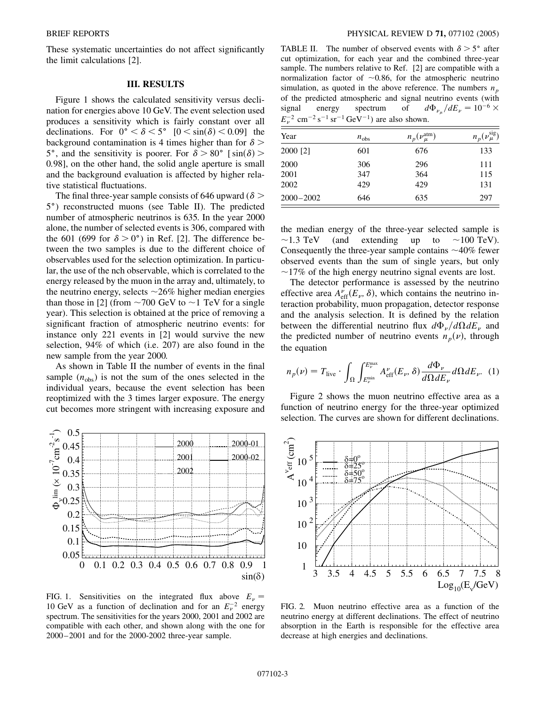These systematic uncertainties do not affect significantly the limit calculations [2].

## **III. RESULTS**

Figure 1 shows the calculated sensitivity versus declination for energies above 10 GeV. The event selection used produces a sensitivity which is fairly constant over all declinations. For  $0^{\circ} < \delta < 5^{\circ}$  [ $0 < \sin(\delta) < 0.09$ ] the background contamination is 4 times higher than for  $\delta$  > 5°, and the sensitivity is poorer. For  $\delta > 80^\circ$  [sin( $\delta$ ) > 0*:*98], on the other hand, the solid angle aperture is small and the background evaluation is affected by higher relative statistical fluctuations.

The final three-year sample consists of 646 upward  $(\delta >$ 5) reconstructed muons (see Table II). The predicted number of atmospheric neutrinos is 635. In the year 2000 alone, the number of selected events is 306, compared with the 601 (699 for  $\delta > 0^{\circ}$ ) in Ref. [2]. The difference between the two samples is due to the different choice of observables used for the selection optimization. In particular, the use of the nch observable, which is correlated to the energy released by the muon in the array and, ultimately, to the neutrino energy, selects  $\sim$  26% higher median energies than those in [2] (from  $\sim$  700 GeV to  $\sim$  1 TeV for a single year). This selection is obtained at the price of removing a significant fraction of atmospheric neutrino events: for instance only 221 events in [2] would survive the new selection, 94% of which (i.e. 207) are also found in the new sample from the year 2000.

As shown in Table II the number of events in the final sample  $(n_{obs})$  is not the sum of the ones selected in the individual years, because the event selection has been reoptimized with the 3 times larger exposure. The energy cut becomes more stringent with increasing exposure and



FIG. 1. Sensitivities on the integrated flux above  $E_{\nu}$  = 10 GeV as a function of declination and for an  $E_{\nu}^{-2}$  energy spectrum. The sensitivities for the years 2000, 2001 and 2002 are compatible with each other, and shown along with the one for 2000–2001 and for the 2000-2002 three-year sample.

TABLE II. The number of observed events with  $\delta > 5^{\circ}$  after cut optimization, for each year and the combined three-year sample. The numbers relative to Ref. [2] are compatible with a normalization factor of  $\sim 0.86$ , for the atmospheric neutrino simulation, as quoted in the above reference. The numbers  $n_p$ of the predicted atmospheric and signal neutrino events (with signal energy spectrum of  $_{\mu}$ / $dE_{\nu} = 10^{-6} \times$  $E_{\nu}^{-2}$  cm<sup>-2</sup> s<sup>-1</sup> sr<sup>-1</sup> GeV<sup>-1</sup>) are also shown.

| Year          | $n_{\rm obs}$ | $n_p(\nu_\mu^{\rm atm})$ | $n_p(\nu_\mu^{\text{sig}})$ |  |  |
|---------------|---------------|--------------------------|-----------------------------|--|--|
| 2000 [2]      | 601           | 676                      | 133                         |  |  |
| 2000          | 306           | 296                      | 111                         |  |  |
| 2001          | 347           | 364                      | 115                         |  |  |
| 2002          | 429           | 429                      | 131                         |  |  |
| $2000 - 2002$ | 646           | 635                      | 297                         |  |  |

the median energy of the three-year selected sample is  $\sim$ 1.3 TeV (and extending up to  $\sim$ 100 TeV). Consequently the three-year sample contains  $\sim$ 40% fewer observed events than the sum of single years, but only  $\sim$ 17% of the high energy neutrino signal events are lost.

The detector performance is assessed by the neutrino effective area  $A_{\text{eff}}^{\nu}(E_{\nu}, \delta)$ , which contains the neutrino interaction probability, muon propagation, detector response and the analysis selection. It is defined by the relation between the differential neutrino flux  $d\Phi_{\nu}/d\Omega dE_{\nu}$  and the predicted number of neutrino events  $n_p(\nu)$ , through the equation

$$
n_p(\nu) = T_{\text{live}} \cdot \int_{\Omega} \int_{E_{\nu}^{\text{min}}}^{E_{\nu}^{\text{max}}} A_{\text{eff}}^{\nu}(E_{\nu}, \delta) \frac{d\Phi_{\nu}}{d\Omega dE_{\nu}} d\Omega dE_{\nu}.
$$
 (1)

Figure 2 shows the muon neutrino effective area as a function of neutrino energy for the three-year optimized selection. The curves are shown for different declinations.



FIG. 2. Muon neutrino effective area as a function of the neutrino energy at different declinations. The effect of neutrino absorption in the Earth is responsible for the effective area decrease at high energies and declinations.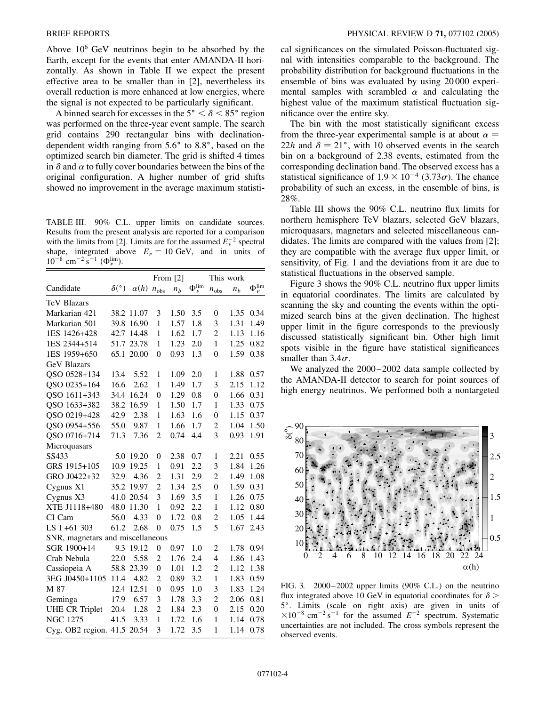Above  $10^6$  GeV neutrinos begin to be absorbed by the Earth, except for the events that enter AMANDA-II horizontally. As shown in Table II we expect the present effective area to be smaller than in [2], nevertheless its overall reduction is more enhanced at low energies, where the signal is not expected to be particularly significant.

A binned search for excesses in the  $5^{\circ} < \delta < 85^{\circ}$  region was performed on the three-year event sample. The search grid contains 290 rectangular bins with declinationdependent width ranging from 5.6° to 8.8°, based on the optimized search bin diameter. The grid is shifted 4 times in  $\delta$  and  $\alpha$  to fully cover boundaries between the bins of the original configuration. A higher number of grid shifts showed no improvement in the average maximum statisti-

TABLE III. 90% C.L. upper limits on candidate sources. Results from the present analysis are reported for a comparison with the limits from [2]. Limits are for the assumed  $E_{\nu}^{-2}$  spectral shape, integrated above  $E_{\nu} = 10$  GeV, and in units of  $10^{-8}$  cm<sup>-2</sup> s<sup>-1</sup> ( $\Phi_{\nu}^{\text{lim}}$ ).

|                                  |                     |             | From $[2]$       |                | This work              |                |                |                      |  |  |  |
|----------------------------------|---------------------|-------------|------------------|----------------|------------------------|----------------|----------------|----------------------|--|--|--|
| Candidate                        | $\delta({\degree})$ | $\alpha(h)$ | $n_{\text{obs}}$ | n <sub>b</sub> | $\Phi_{\nu}^{\rm lim}$ | $n_{\rm obs}$  | n <sub>b</sub> | $\Phi_\nu^{\rm lim}$ |  |  |  |
| <b>TeV Blazars</b>               |                     |             |                  |                |                        |                |                |                      |  |  |  |
| Markarian 421                    |                     | 38.2 11.07  | 3                | 1.50           | 3.5                    | $\overline{0}$ | 1.35           | 0.34                 |  |  |  |
| Markarian 501                    | 39.8                | 16.90       | 1                | 1.57           | 1.8                    | 3              | 1.31           | 1.49                 |  |  |  |
| 1ES 1426+428                     | 42.7                | 14.48       | $\mathbf{1}$     | 1.62           | 1.7                    | $\overline{c}$ | 1.13           | 1.16                 |  |  |  |
| 1ES 2344+514                     | 51.7                | 23.78       | 1                | 1.23           | 2.0                    | 1              | 1.25           | 0.82                 |  |  |  |
| 1ES 1959+650                     | 65.1                | 20.00       | 0                | 0.93           | 1.3                    | $\overline{0}$ | 1.59           | 0.38                 |  |  |  |
| <b>GeV Blazars</b>               |                     |             |                  |                |                        |                |                |                      |  |  |  |
| QSO 0528+134                     | 13.4                | 5.52        | 1                | 1.09           | 2.0                    | $\mathbf{1}$   | 1.88           | 0.57                 |  |  |  |
| QSO 0235+164                     | 16.6                | 2.62        | 1                | 1.49           | 1.7                    | 3              | 2.15           | 1.12                 |  |  |  |
| QSO 1611+343                     | 34.4                | 16.24       | 0                | 1.29           | 0.8                    | $\overline{0}$ | 1.66           | 0.31                 |  |  |  |
| QSO 1633+382                     | 38.2                | 16.59       | 1                | 1.50           | 1.7                    | 1              | 1.33           | 0.75                 |  |  |  |
| QSO 0219+428                     | 42.9                | 2.38        | 1                | 1.63           | 1.6                    | $\overline{0}$ | 1.15           | 0.37                 |  |  |  |
| QSO 0954+556                     | 55.0                | 9.87        | $\mathbf{1}$     | 1.66           | 1.7                    | $\overline{c}$ | 1.04           | 1.50                 |  |  |  |
| QSO 0716+714                     | 71.3                | 7.36        | $\overline{c}$   | 0.74           | 4.4                    | 3              | 0.93           | 1.91                 |  |  |  |
| Microquasars                     |                     |             |                  |                |                        |                |                |                      |  |  |  |
| SS433                            | 5.0                 | 19.20       | 0                | 2.38           | 0.7                    | 1              | 2.21           | 0.55                 |  |  |  |
| GRS 1915+105                     | 10.9                | 19.25       | $\mathbf{1}$     | 0.91           | 2.2                    | 3              | 1.84           | 1.26                 |  |  |  |
| GRO J0422+32                     | 32.9                | 4.36        | $\overline{c}$   | 1.31           | 2.9                    | $\overline{2}$ | 1.49           | 1.08                 |  |  |  |
| Cygnus X1                        | 35.2                | 19.97       | $\overline{c}$   | 1.34           | 2.5                    | $\overline{0}$ | 1.59           | 0.31                 |  |  |  |
| Cygnus X3                        | 41.0                | 20.54       | 3                | 1.69           | 3.5                    | $\mathbf{1}$   | 1.26           | 0.75                 |  |  |  |
| XTE J1118+480                    | 48.0                | 11.30       | 1                | 0.92           | 2.2                    | 1              | 1.12           | 0.80                 |  |  |  |
| CI Cam                           | 56.0                | 4.33        | $\overline{0}$   | 1.72           | 0.8                    | $\overline{c}$ | 1.05           | 1.44                 |  |  |  |
| LS I +61 303                     | 61.2                | 2.68        | 0                | 0.75           | 1.5                    | 5              | 1.67           | 2.43                 |  |  |  |
| SNR, magnetars and miscellaneous |                     |             |                  |                |                        |                |                |                      |  |  |  |
| SGR 1900+14                      | 9.3                 | 19.12       | $\overline{0}$   | 0.97           | 1.0                    | $\overline{2}$ | 1.78           | 0.94                 |  |  |  |
| Crab Nebula                      | 22.0                | 5.58        | $\overline{c}$   | 1.76           | 2.4                    | 4              | 1.86           | 1.43                 |  |  |  |
| Cassiopeia A                     | 58.8                | 23.39       | $\overline{0}$   | 1.01           | 1.2                    | $\overline{c}$ | 1.12           | 1.38                 |  |  |  |
| 3EG J0450+1105                   | 11.4                | 4.82        | $\overline{c}$   | 0.89           | 3.2                    | $\mathbf{1}$   | 1.83           | 0.59                 |  |  |  |
| M 87                             | 12.4                | 12.51       | $\overline{0}$   | 0.95           | 1.0                    | 3              | 1.83           | 1.24                 |  |  |  |
| Geminga                          | 17.9                | 6.57        | 3                | 1.78           | 3.3                    | $\overline{2}$ | 2.06           | 0.81                 |  |  |  |
| <b>UHE CR Triplet</b>            | 20.4                | 1.28        | $\overline{c}$   | 1.84           | 2.3                    | $\overline{0}$ | 2.15           | 0.20                 |  |  |  |
| <b>NGC 1275</b>                  | 41.5                | 3.33        | 1                | 1.72           | 1.6                    | 1              | 1.14           | 0.78                 |  |  |  |
| Cyg. OB2 region. $41.5$          |                     | 20.54       | 3                | 1.72           | 3.5                    | 1              | 1.14           | 0.78                 |  |  |  |

cal significances on the simulated Poisson-fluctuated signal with intensities comparable to the background. The probability distribution for background fluctuations in the ensemble of bins was evaluated by using 20 000 experimental samples with scrambled  $\alpha$  and calculating the highest value of the maximum statistical fluctuation significance over the entire sky.

The bin with the most statistically significant excess from the three-year experimental sample is at about  $\alpha =$ 22*h* and  $\delta = 21^{\circ}$ , with 10 observed events in the search bin on a background of 2.38 events, estimated from the corresponding declination band. The observed excess has a statistical significance of  $1.9 \times 10^{-4}$  (3.73 $\sigma$ ). The chance probability of such an excess, in the ensemble of bins, is 28%.

Table III shows the 90% C.L. neutrino flux limits for northern hemisphere TeV blazars, selected GeV blazars, microquasars, magnetars and selected miscellaneous candidates. The limits are compared with the values from [2]; they are compatible with the average flux upper limit, or sensitivity, of Fig. 1 and the deviations from it are due to statistical fluctuations in the observed sample.

Figure 3 shows the 90% C.L. neutrino flux upper limits in equatorial coordinates. The limits are calculated by scanning the sky and counting the events within the optimized search bins at the given declination. The highest upper limit in the figure corresponds to the previously discussed statistically significant bin. Other high limit spots visible in the figure have statistical significances smaller than  $3.4\sigma$ .

We analyzed the  $2000-2002$  data sample collected by the AMANDA-II detector to search for point sources of high energy neutrinos. We performed both a nontargeted



FIG. 3. 2000–2002 upper limits (90% C.L.) on the neutrino flux integrated above 10 GeV in equatorial coordinates for  $\delta$  > 5. Limits (scale on right axis) are given in units of  $\times 10^{-8}$  cm<sup>-2</sup> s<sup>-1</sup> for the assumed  $E^{-2}$  spectrum. Systematic uncertainties are not included. The cross symbols represent the observed events.